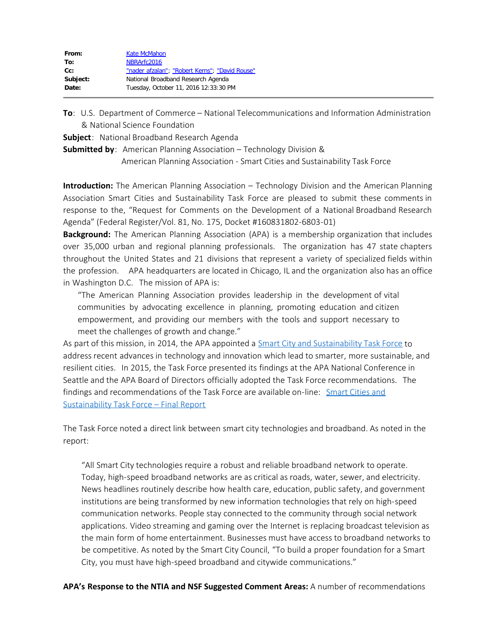| From:    | <b>Kate McMahon</b>                            |
|----------|------------------------------------------------|
| To:      | NBRArfc2016                                    |
| $Cc$ :   | "nader afzalan", "Robert Kerns"; "David Rouse" |
| Subject: | National Broadband Research Agenda             |
| Date:    | Tuesday, October 11, 2016 12:33:30 PM          |
|          |                                                |

**To**: U.S. Department of Commerce – National Telecommunications and Information Administration & National Science Foundation

**Subject**: National Broadband Research Agenda

**Submitted by**: American Planning Association – Technology Division &

American Planning Association - Smart Cities and Sustainability Task Force

**Introduction:** The American Planning Association – Technology Division and the American Planning Association Smart Cities and Sustainability Task Force are pleased to submit these comments in response to the, "Request for Comments on the Development of a National Broadband Research Agenda" (Federal Register/Vol. 81, No. 175, Docket #160831802-6803-01)

**Background:** The American Planning Association (APA) is a membership organization that includes over 35,000 urban and regional planning professionals. The organization has 47 state chapters throughout the United States and 21 divisions that represent a variety of specialized fields within the profession. APA headquarters are located in Chicago, IL and the organization also has an office in Washington D.C. The mission of APA is:

"The American Planning Association provides leadership in the development of vital communities by advocating excellence in planning, promoting education and citizen empowerment, and providing our members with the tools and support necessary to meet the challenges of growth and change."

As part of this mission, in 2014, the APA appointed a **Smart City and [Sustainability](https://www.planning.org/resources/ontheradar/smartcities/) Task Force to** address recent advances in technology and innovation which lead to smarter, more sustainable, and resilient cities. In 2015, the Task Force presented its findings at the APA National Conference in Seattle and the APA Board of Directors officially adopted the Task Force recommendations. The findings and recommendations of the Task Force are available on-line: [Smart](https://planning-org-uploaded-media.s3.amazonaws.com/legacy_resources/leadership/agendas/2015/spr/pdf/SmartCitiesSustainabilityFinal.pdf) Cities and [Sustainability](https://planning-org-uploaded-media.s3.amazonaws.com/legacy_resources/leadership/agendas/2015/spr/pdf/SmartCitiesSustainabilityFinal.pdf) Task Force – Final Report

The Task Force noted a direct link between smart city technologies and broadband. As noted in the report:

"All Smart City technologies require a robust and reliable broadband network to operate. Today, high-speed broadband networks are as critical as roads, water, sewer, and electricity. News headlines routinely describe how health care, education, public safety, and government institutions are being transformed by new information technologies that rely on high-speed communication networks. People stay connected to the community through social network applications. Video streaming and gaming over the Internet is replacing broadcast television as the main form of home entertainment. Businesses must have access to broadband networks to be competitive. As noted by the Smart City Council, "To build a proper foundation for a Smart City, you must have high-speed broadband and citywide communications."

**APA's Response to the NTIA and NSF Suggested Comment Areas:** A number of recommendations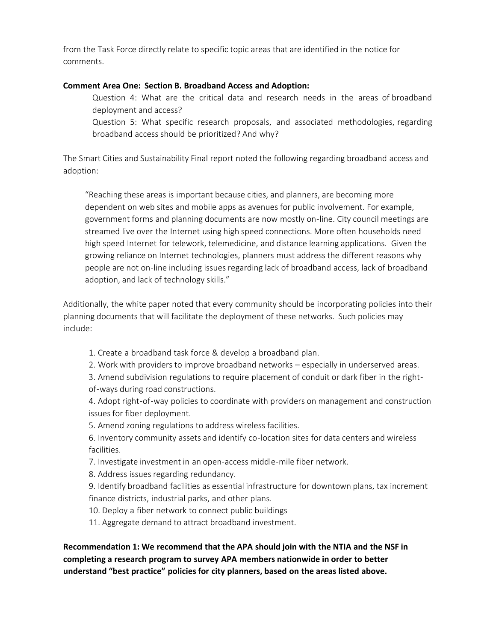from the Task Force directly relate to specific topic areas that are identified in the notice for comments.

## **Comment Area One: Section B. Broadband Access and Adoption:**

Question 4: What are the critical data and research needs in the areas of broadband deployment and access?

Question 5: What specific research proposals, and associated methodologies, regarding broadband access should be prioritized? And why?

The Smart Cities and Sustainability Final report noted the following regarding broadband access and adoption:

"Reaching these areas is important because cities, and planners, are becoming more dependent on web sites and mobile apps as avenues for public involvement. For example, government forms and planning documents are now mostly on-line. City council meetings are streamed live over the Internet using high speed connections. More often households need high speed Internet for telework, telemedicine, and distance learning applications. Given the growing reliance on Internet technologies, planners must address the different reasons why people are not on-line including issues regarding lack of broadband access, lack of broadband adoption, and lack of technology skills."

Additionally, the white paper noted that every community should be incorporating policies into their planning documents that will facilitate the deployment of these networks. Such policies may include:

- 1. Create a broadband task force & develop a broadband plan.
- 2. Work with providers to improve broadband networks especially in underserved areas.

3. Amend subdivision regulations to require placement of conduit or dark fiber in the rightof-ways during road constructions.

4. Adopt right-of-way policies to coordinate with providers on management and construction issues for fiber deployment.

5. Amend zoning regulations to address wireless facilities.

6. Inventory community assets and identify co-location sites for data centers and wireless facilities.

7. Investigate investment in an open-access middle-mile fiber network.

8. Address issues regarding redundancy.

9. Identify broadband facilities as essential infrastructure for downtown plans, tax increment finance districts, industrial parks, and other plans.

10. Deploy a fiber network to connect public buildings

11. Aggregate demand to attract broadband investment.

**Recommendation 1: We recommend that the APA should join with the NTIA and the NSF in completing a research program to survey APA members nationwide in order to better understand "best practice" policies for city planners, based on the areas listed above.**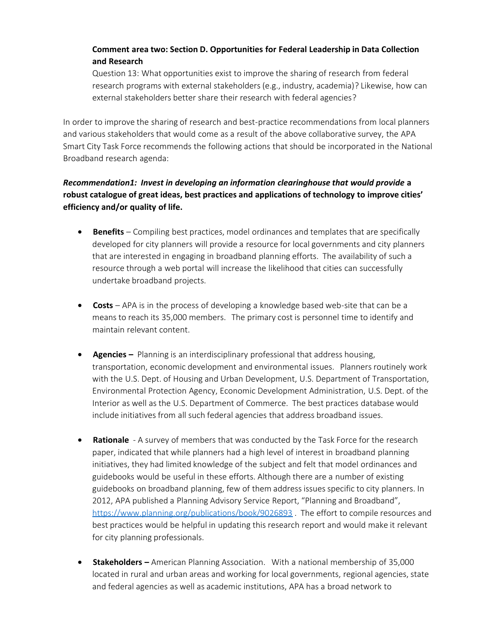## **Comment area two: Section D. Opportunities for Federal Leadership in Data Collection and Research**

Question 13: What opportunities exist to improve the sharing of research from federal research programs with external stakeholders (e.g., industry, academia)? Likewise, how can external stakeholders better share their research with federal agencies?

In order to improve the sharing of research and best-practice recommendations from local planners and various stakeholders that would come as a result of the above collaborative survey, the APA Smart City Task Force recommends the following actions that should be incorporated in the National Broadband research agenda:

## *Recommendation1: Invest in developing an information clearinghouse that would provide* **a robust catalogue of great ideas, best practices and applications of technology to improve cities' efficiency and/or quality of life.**

- · **Benefits**  Compiling best practices, model ordinances and templates that are specifically developed for city planners will provide a resource for local governments and city planners that are interested in engaging in broadband planning efforts. The availability of such a resource through a web portal will increase the likelihood that cities can successfully undertake broadband projects.
- · **Costs**  APA is in the process of developing a knowledge based web-site that can be a means to reach its 35,000 members. The primary cost is personnel time to identify and maintain relevant content.
- · **Agencies –** Planning is an interdisciplinary professional that address housing, transportation, economic development and environmental issues. Planners routinely work with the U.S. Dept. of Housing and Urban Development, U.S. Department of Transportation, Environmental Protection Agency, Economic Development Administration, U.S. Dept. of the Interior as well as the U.S. Department of Commerce. The best practices database would include initiatives from all such federal agencies that address broadband issues.
- **Rationale** A survey of members that was conducted by the Task Force for the research paper, indicated that while planners had a high level of interest in broadband planning initiatives, they had limited knowledge of the subject and felt that model ordinances and guidebooks would be useful in these efforts. Although there are a number of existing guidebooks on broadband planning, few of them address issues specific to city planners. In 2012, APA published a Planning Advisory Service Report, "Planning and Broadband", <https://www.planning.org/publications/book/9026893>. The effort to compile resources and best practices would be helpful in updating this research report and would make it relevant for city planning professionals.
- · **Stakeholders** American Planning Association. With a national membership of 35,000 located in rural and urban areas and working for local governments, regional agencies, state and federal agencies as well as academic institutions, APA has a broad network to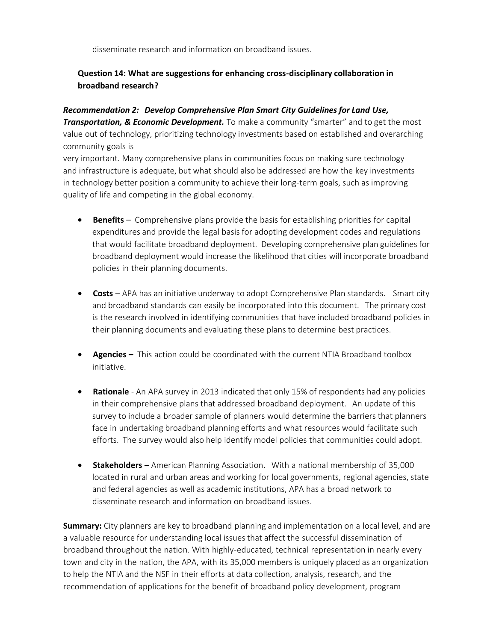disseminate research and information on broadband issues.

## **Question 14: What are suggestions for enhancing cross-disciplinary collaboration in broadband research?**

*Recommendation 2: Develop Comprehensive Plan Smart City Guidelines for Land Use, Transportation, & Economic Development.* To make a community "smarter" and to get the most value out of technology, prioritizing technology investments based on established and overarching community goals is

very important. Many comprehensive plans in communities focus on making sure technology and infrastructure is adequate, but what should also be addressed are how the key investments in technology better position a community to achieve their long-term goals, such as improving quality of life and competing in the global economy.

- **Benefits** Comprehensive plans provide the basis for establishing priorities for capital expenditures and provide the legal basis for adopting development codes and regulations that would facilitate broadband deployment. Developing comprehensive plan guidelines for broadband deployment would increase the likelihood that cities will incorporate broadband policies in their planning documents.
- · **Costs**  APA has an initiative underway to adopt Comprehensive Plan standards. Smart city and broadband standards can easily be incorporated into this document. The primary cost is the research involved in identifying communities that have included broadband policies in their planning documents and evaluating these plans to determine best practices.
- · **Agencies –** This action could be coordinated with the current NTIA Broadband toolbox initiative.
- **Rationale** An APA survey in 2013 indicated that only 15% of respondents had any policies in their comprehensive plans that addressed broadband deployment. An update of this survey to include a broader sample of planners would determine the barriers that planners face in undertaking broadband planning efforts and what resources would facilitate such efforts. The survey would also help identify model policies that communities could adopt.
- · **Stakeholders** American Planning Association. With a national membership of 35,000 located in rural and urban areas and working for local governments, regional agencies, state and federal agencies as well as academic institutions, APA has a broad network to disseminate research and information on broadband issues.

**Summary:** City planners are key to broadband planning and implementation on a local level, and are a valuable resource for understanding local issues that affect the successful dissemination of broadband throughout the nation. With highly-educated, technical representation in nearly every town and city in the nation, the APA, with its 35,000 members is uniquely placed as an organization to help the NTIA and the NSF in their efforts at data collection, analysis, research, and the recommendation of applications for the benefit of broadband policy development, program